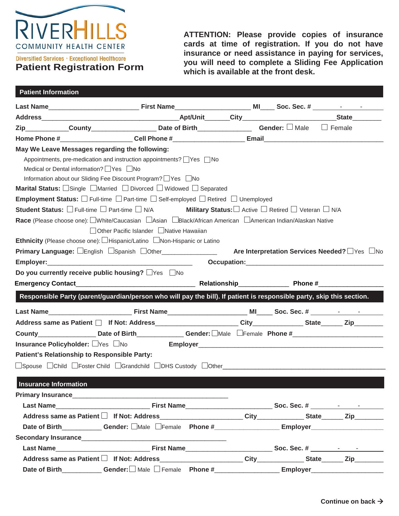

Diversified Services · Exceptional Healthcare **Patient Registration Form** **ATTENTION: Please provide copies of insurance cards at time of registration. If you do not have insurance or need assistance in paying for services, you will need to complete a Sliding Fee Application which is available at the front desk.**

| <b>Patient Information</b>   |                                                   |                                                                                                                                  |  |  |                                              |  |
|------------------------------|---------------------------------------------------|----------------------------------------------------------------------------------------------------------------------------------|--|--|----------------------------------------------|--|
|                              |                                                   |                                                                                                                                  |  |  |                                              |  |
|                              |                                                   |                                                                                                                                  |  |  |                                              |  |
|                              |                                                   | Zip_____________County_______________________Date of Birth__________________Gender: □ Male □ Female                              |  |  |                                              |  |
|                              |                                                   |                                                                                                                                  |  |  |                                              |  |
|                              | May We Leave Messages regarding the following:    |                                                                                                                                  |  |  |                                              |  |
|                              | Medical or Dental information? Ves Mo             | Appointments, pre-medication and instruction appointments? Ves No<br>Information about our Sliding Fee Discount Program? PYes No |  |  |                                              |  |
|                              |                                                   | <b>Marital Status:</b> $\Box$ Single $\Box$ Married $\Box$ Divorced $\Box$ Widowed $\Box$ Separated                              |  |  |                                              |  |
|                              |                                                   | <b>Employment Status:</b> $\square$ Full-time $\square$ Part-time $\square$ Self-employed $\square$ Retired $\square$ Unemployed |  |  |                                              |  |
|                              |                                                   | Student Status: □ Full-time □ Part-time □ N/A Military Status: □ Active □ Retired □ Veteran □ N/A                                |  |  |                                              |  |
|                              |                                                   | Race (Please choose one): □White/Caucasian □Asian □Black/African American □American Indian/Alaskan Native                        |  |  |                                              |  |
|                              |                                                   | □ Other Pacific Islander △ Native Hawaiian                                                                                       |  |  |                                              |  |
|                              |                                                   | Ethnicity (Please choose one): UHispanic/Latino UNon-Hispanic or Latino                                                          |  |  |                                              |  |
|                              |                                                   | Primary Language: English Spanish DOther                                                                                         |  |  | Are Interpretation Services Needed? TYes INo |  |
|                              |                                                   |                                                                                                                                  |  |  |                                              |  |
|                              | Do you currently receive public housing? □Yes □No |                                                                                                                                  |  |  |                                              |  |
|                              |                                                   |                                                                                                                                  |  |  |                                              |  |
|                              |                                                   | Responsible Party (parent/guardian/person who will pay the bill). If patient is responsible party, skip this section.            |  |  |                                              |  |
|                              |                                                   |                                                                                                                                  |  |  |                                              |  |
|                              |                                                   |                                                                                                                                  |  |  |                                              |  |
|                              |                                                   | County____________________Date of Birth_______________Gender: □Male □Female Phone #___________________________                   |  |  |                                              |  |
|                              |                                                   |                                                                                                                                  |  |  |                                              |  |
|                              | Patient's Relationship to Responsible Party:      |                                                                                                                                  |  |  |                                              |  |
|                              |                                                   |                                                                                                                                  |  |  |                                              |  |
| <b>Insurance Information</b> |                                                   |                                                                                                                                  |  |  |                                              |  |
|                              |                                                   |                                                                                                                                  |  |  |                                              |  |
|                              |                                                   |                                                                                                                                  |  |  |                                              |  |
|                              |                                                   | Address same as Patient □ If Not: Address______________________City_____________State______Zip___________                        |  |  |                                              |  |
|                              |                                                   |                                                                                                                                  |  |  |                                              |  |
|                              |                                                   |                                                                                                                                  |  |  |                                              |  |
|                              |                                                   |                                                                                                                                  |  |  |                                              |  |
|                              |                                                   |                                                                                                                                  |  |  |                                              |  |
|                              |                                                   | Address same as Patient □ If Not: Address______________________City____________State______Zip_________________                   |  |  |                                              |  |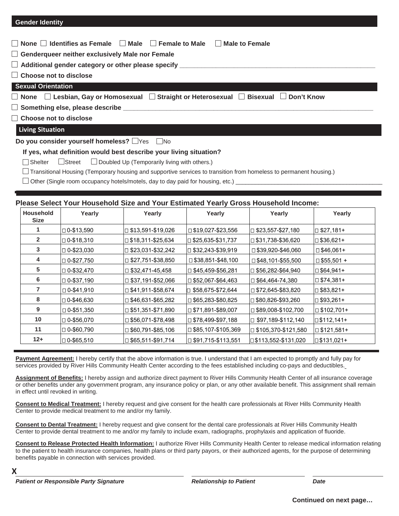## **Gender Identity**

| $\Box$ None $\Box$ Identifies as Female $\Box$ Male $\Box$ Female to Male $\Box$ Male to Female                                 |  |  |  |  |  |  |  |
|---------------------------------------------------------------------------------------------------------------------------------|--|--|--|--|--|--|--|
| $\Box$ Genderqueer neither exclusively Male nor Female                                                                          |  |  |  |  |  |  |  |
|                                                                                                                                 |  |  |  |  |  |  |  |
| $\Box$ Choose not to disclose                                                                                                   |  |  |  |  |  |  |  |
| <b>Sexual Orientation</b>                                                                                                       |  |  |  |  |  |  |  |
| $\Box$ None $\;\;\Box$ Lesbian, Gay or Homosexual $\;\;\Box$ Straight or Heterosexual $\;\;\Box$ Bisexual $\;\;\Box$ Don't Know |  |  |  |  |  |  |  |
|                                                                                                                                 |  |  |  |  |  |  |  |
| Choose not to disclose                                                                                                          |  |  |  |  |  |  |  |
| <b>Living Situation</b>                                                                                                         |  |  |  |  |  |  |  |
|                                                                                                                                 |  |  |  |  |  |  |  |

**Do you consider yourself homeless?**  $\Box$ Yes  $\Box$ No

#### **If yes, what definition would best describe your living situation?**

ShelterStreet Doubled Up (Temporarily living with others.)

Transitional Housing (Temporary housing and supportive services to transition from homeless to permanent housing.)

 $\square$  Other (Single room occupancy hotels/motels, day to day paid for housing, etc.)

# **Please Select Your Household Size and Your Estimated Yearly Gross Household Income:**

| <b>Household</b><br><b>Size</b> | Yearly            | Yearly                      | Yearly                      | Yearly                      | Yearly               |
|---------------------------------|-------------------|-----------------------------|-----------------------------|-----------------------------|----------------------|
|                                 | □ 0-\$13,590      | □ \$13,591-\$19,026         | $\square$ \$19,027-\$23,556 | □ \$23,557-\$27,180         | $\Box$ \$27,181+     |
| $\mathbf{2}$                    | $\Box$ 0-\$18,310 | □ \$18,311-\$25,634         | $\Box$ \$25,635-\$31,737    | □ \$31,738-\$36,620         | □ \$36,621+          |
| 3                               | □ 0-\$23,030      | □ \$23,031-\$32,242         | $\Box$ \$32,243-\$39,919    | $\square$ \$39,920-\$46,060 | □ \$46,061+          |
| 4                               | $\Box$ 0-\$27,750 | $\square$ \$27,751-\$38,850 | $\square$ \$38,851-\$48,100 | □ \$48,101-\$55,500         | $\square$ \$55,501 + |
| 5                               | □ 0-\$32,470      | $\Box$ \$32,471-45,458      | □ \$45,459-\$56,281         | □ \$56,282-\$64,940         | $\Box$ \$64,941+     |
| 6                               | $\Box$ 0-\$37,190 | $\square$ \$37,191-\$52,066 | 552,067-\$64,463            | □ \$64,464-74,380           | $\Box$ \$74,381+     |
| $\mathbf{7}$                    | 0-\$41,910 ⊡      | $\square$ \$41,911-\$58,674 | □ \$58,675-\$72,644         | □ \$72,645-\$83,820         | $\Box$ \$83,821+     |
| 8                               | □ 0-\$46,630      | $\square$ \$46,631-\$65,282 | □ \$65,283-\$80,825         | □ \$80,826-\$93,260         | $\Box$ \$93,261+     |
| 9                               | □ 0-\$51,350      | $\Box$ \$51,351-\$71,890    | 571,891-\$89,007            | □ \$89,008-\$102,700        | $\Box$ \$102,701+    |
| 10                              | $\Box$ 0-\$56,070 | $\Box$ \$56,071-\$78,498    | 578,499-\$97,188            | □ \$97,189-\$112,140        | $\Box$ \$112,141+    |
| 11                              | □ 0-\$60,790      | $\Box$ \$60,791-\$85,106    | □ \$85,107-\$105,369        | □ \$105,370-\$121,580       | □ \$121,581+         |
| $12 +$                          | $\Box$ 0-\$65,510 | $\square$ \$65,511-\$91,714 | 551,715-\$113,551∥          | $\Box$ \$113,552-\$131,020  | $\Box$ \$131,021+    |

Payment Agreement: I hereby certify that the above information is true. I understand that I am expected to promptly and fully pay for services provided by River Hills Community Health Center according to the fees established including co-pays and deductibles.

**Assignment of Benefits:** I hereby assign and authorize direct payment to River Hills Community Health Center of all insurance coverage or other benefits under any government program, any insurance policy or plan, or any other available benefit. This assignment shall remain in effect until revoked in writing.

**Consent to Medical Treatment:** I hereby request and give consent for the health care professionals at River Hills Community Health Center to provide medical treatment to me and/or my family.

**Consent to Dental Treatment:** I hereby request and give consent for the dental care professionals at River Hills Community Health Center to provide dental treatment to me and/or my family to include exam, radiographs, prophylaxis and application of fluoride.

**Consent to Release Protected Health Information:** I authorize River Hills Community Health Center to release medical information relating to the patient to health insurance companies, health plans or third party payors, or their authorized agents, for the purpose of determining benefits payable in connection with services provided.

*Patient or Responsible Party Signature Relationship to Patient Date*

**X**